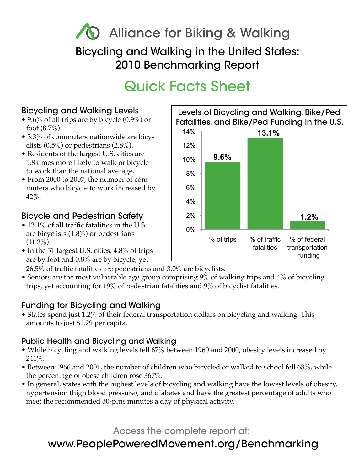## **) Alliance for Biking & Walking** Bicycling and Walking in the United States: 2010 Benchmarking Report

# Quick Facts Sheet

#### Bicycling and Walking Levels

- 9.6% of all trips are by bicycle  $(0.9\%)$  or foot  $(8.7\%)$ .
- 3.3% of commuters nationwide are bicyclists  $(0.5\%)$  or pedestrians  $(2.8\%).$
- Residents of the largest U.S. cities are 1.8 times more likely to walk or bicycle to work than the national average.
- From 2000 to 2007, the number of commuters who bicycle to work increased by 42%.

#### Bicycle and Pedestrian Safety

- 13.1% of all traffic fatalities in the U.S. are bicyclists (1.8%) or pedestrians  $(11.3\%).$
- In the 51 largest U.S. cities, 4.8% of trips are by foot and 0.8% are by bicycle, yet

26.5% of traffic fatalities are pedestrians and 3.0% are bicyclists.

• Seniors are the most vulnerable age group comprising 9% of walking trips and 4% of bicycling trips, yet accounting for 19% of pedestrian fatalities and 9% of bicyclist fatalities.

#### Funding for Bicycling and Walking

• States spend just 1.2% of their federal transportation dollars on bicycling and walking. This amounts to just \$1.29 per capita.

#### Public Health and Bicycling and Walking

- While bicycling and walking levels fell 67% between 1960 and 2000, obesity levels increased by 241%.
- Between 1966 and 2001, the number of children who bicycled or walked to school fell 68%, while the percentage of obese children rose 367%.
- In general, states with the highest levels of bicycling and walking have the lowest levels of obesity, hypertension (high blood pressure), and diabetes and have the greatest percentage of adults who meet the recommended 30-plus minutes a day of physical activity.

Access the complete report at:

### www.PeoplePoweredMovement.org/Benchmarking